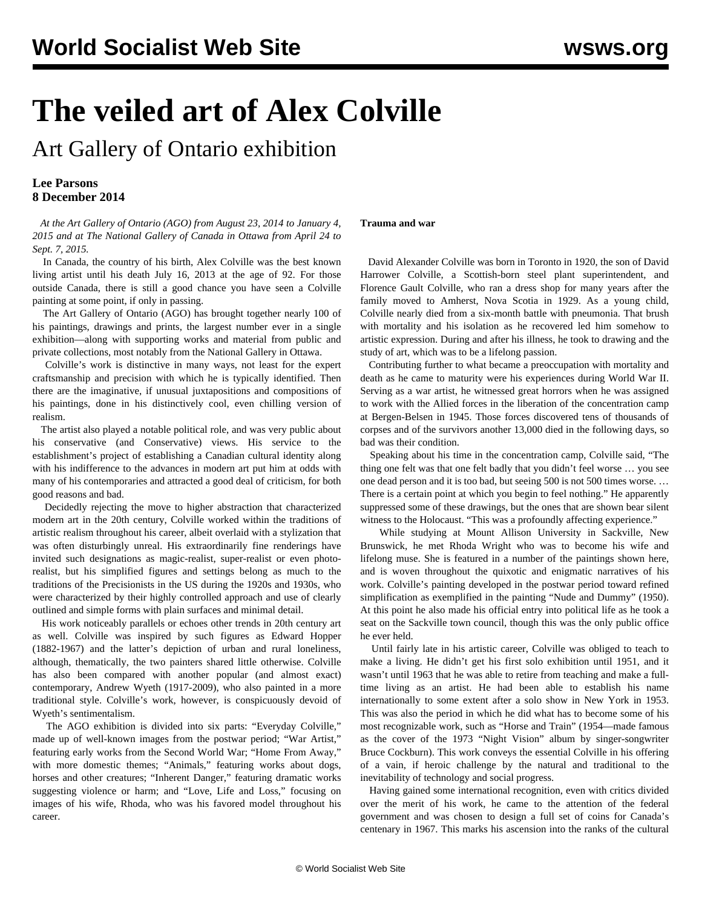# **The veiled art of Alex Colville**

Art Gallery of Ontario exhibition

### **Lee Parsons 8 December 2014**

 *At the Art Gallery of Ontario (AGO) from August 23, 2014 to January 4, 2015 and at The National Gallery of Canada in Ottawa from April 24 to Sept. 7, 2015.*

 In Canada, the country of his birth, Alex Colville was the best known living artist until his death July 16, 2013 at the age of 92. For those outside Canada, there is still a good chance you have seen a Colville painting at some point, if only in passing.

 The Art Gallery of Ontario (AGO) has brought together nearly 100 of his paintings, drawings and prints, the largest number ever in a single exhibition—along with supporting works and material from public and private collections, most notably from the National Gallery in Ottawa.

 Colville's work is distinctive in many ways, not least for the expert craftsmanship and precision with which he is typically identified. Then there are the imaginative, if unusual juxtapositions and compositions of his paintings, done in his distinctively cool, even chilling version of realism.

 The artist also played a notable political role, and was very public about his conservative (and Conservative) views. His service to the establishment's project of establishing a Canadian cultural identity along with his indifference to the advances in modern art put him at odds with many of his contemporaries and attracted a good deal of criticism, for both good reasons and bad.

 Decidedly rejecting the move to higher abstraction that characterized modern art in the 20th century, Colville worked within the traditions of artistic realism throughout his career, albeit overlaid with a stylization that was often disturbingly unreal. His extraordinarily fine renderings have invited such designations as magic-realist, super-realist or even photorealist, but his simplified figures and settings belong as much to the traditions of the Precisionists in the US during the 1920s and 1930s, who were characterized by their highly controlled approach and use of clearly outlined and simple forms with plain surfaces and minimal detail.

 His work noticeably parallels or echoes other trends in 20th century art as well. Colville was inspired by such figures as Edward Hopper (1882-1967) and the latter's depiction of urban and rural loneliness, although, thematically, the two painters shared little otherwise. Colville has also been compared with another popular (and almost exact) contemporary, Andrew Wyeth (1917-2009), who also painted in a more traditional style. Colville's work, however, is conspicuously devoid of Wyeth's sentimentalism.

 The AGO exhibition is divided into six parts: "Everyday Colville," made up of well-known images from the postwar period; "War Artist," featuring early works from the Second World War; "Home From Away," with more domestic themes; "Animals," featuring works about dogs, horses and other creatures; "Inherent Danger," featuring dramatic works suggesting violence or harm; and "Love, Life and Loss," focusing on images of his wife, Rhoda, who was his favored model throughout his career.

#### **Trauma and war**

 David Alexander Colville was born in Toronto in 1920, the son of David Harrower Colville, a Scottish-born steel plant superintendent, and Florence Gault Colville, who ran a dress shop for many years after the family moved to Amherst, Nova Scotia in 1929. As a young child, Colville nearly died from a six-month battle with pneumonia. That brush with mortality and his isolation as he recovered led him somehow to artistic expression. During and after his illness, he took to drawing and the study of art, which was to be a lifelong passion.

 Contributing further to what became a preoccupation with mortality and death as he came to maturity were his experiences during World War II. Serving as a war artist, he witnessed great horrors when he was assigned to work with the Allied forces in the liberation of the concentration camp at Bergen-Belsen in 1945. Those forces discovered tens of thousands of corpses and of the survivors another 13,000 died in the following days, so bad was their condition.

 Speaking about his time in the concentration camp, Colville said, "The thing one felt was that one felt badly that you didn't feel worse … you see one dead person and it is too bad, but seeing 500 is not 500 times worse. … There is a certain point at which you begin to feel nothing." He apparently suppressed some of these drawings, but the ones that are shown bear silent witness to the Holocaust. "This was a profoundly affecting experience."

 While studying at Mount Allison University in Sackville, New Brunswick, he met Rhoda Wright who was to become his wife and lifelong muse. She is featured in a number of the paintings shown here, and is woven throughout the quixotic and enigmatic narratives of his work. Colville's painting developed in the postwar period toward refined simplification as exemplified in the painting "Nude and Dummy" (1950). At this point he also made his official entry into political life as he took a seat on the Sackville town council, though this was the only public office he ever held.

 Until fairly late in his artistic career, Colville was obliged to teach to make a living. He didn't get his first solo exhibition until 1951, and it wasn't until 1963 that he was able to retire from teaching and make a fulltime living as an artist. He had been able to establish his name internationally to some extent after a solo show in New York in 1953. This was also the period in which he did what has to become some of his most recognizable work, such as "Horse and Train" (1954—made famous as the cover of the 1973 "Night Vision" album by singer-songwriter Bruce Cockburn). This work conveys the essential Colville in his offering of a vain, if heroic challenge by the natural and traditional to the inevitability of technology and social progress.

 Having gained some international recognition, even with critics divided over the merit of his work, he came to the attention of the federal government and was chosen to design a full set of coins for Canada's centenary in 1967. This marks his ascension into the ranks of the cultural